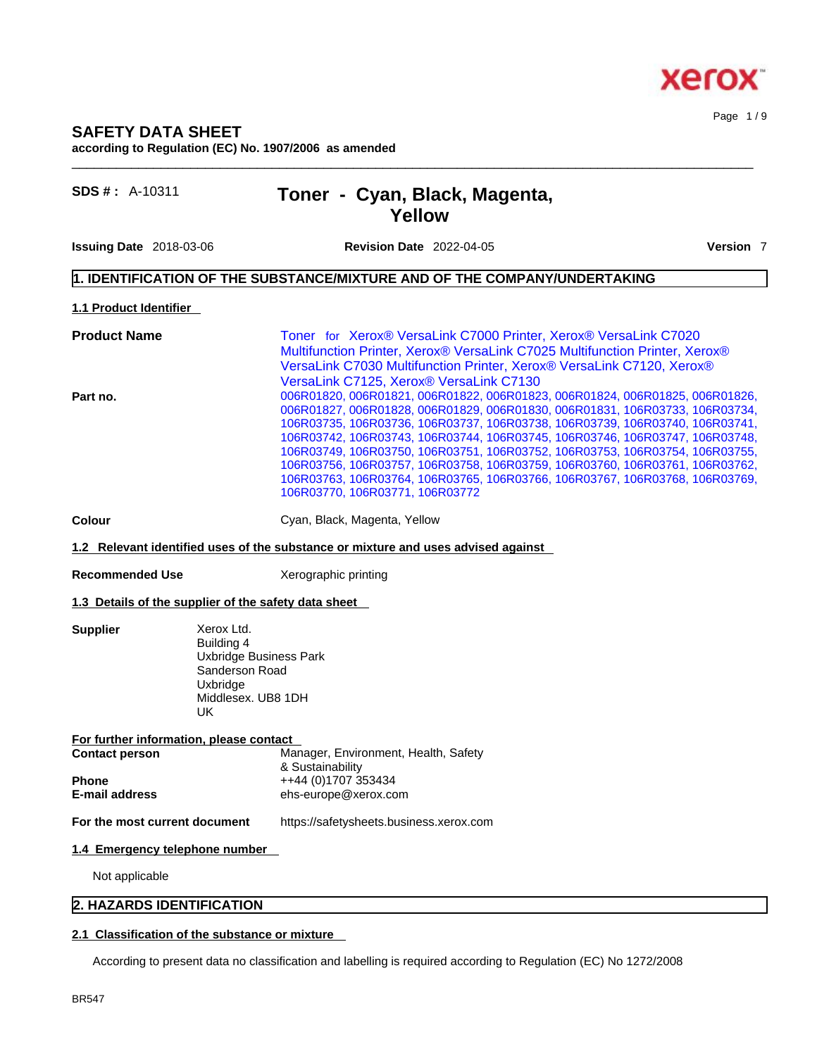#### Page 1 / 9

## **SAFETY DATA SHEET according to Regulation (EC) No. 1907/2006 as amended**

| Toner - Cyan, Black, Magenta, |  |
|-------------------------------|--|
| Yellow                        |  |

**Issuing Date** 2018-03-06 **Revision Date** 2022-04-05 **Version** 7

**SDS # : A-10311** 

 $\_$  ,  $\_$  ,  $\_$  ,  $\_$  ,  $\_$  ,  $\_$  ,  $\_$  ,  $\_$  ,  $\_$  ,  $\_$  ,  $\_$  ,  $\_$  ,  $\_$  ,  $\_$  ,  $\_$  ,  $\_$  ,  $\_$  ,  $\_$  ,  $\_$  ,  $\_$  ,  $\_$  ,  $\_$  ,  $\_$  ,  $\_$  ,  $\_$  ,  $\_$  ,  $\_$  ,  $\_$  ,  $\_$  ,  $\_$  ,  $\_$  ,  $\_$  ,  $\_$  ,  $\_$  ,  $\_$  ,  $\_$  ,  $\_$  ,

## **1. IDENTIFICATION OF THE SUBSTANCE/MIXTURE AND OF THE COMPANY/UNDERTAKING**

**1.1 Product Identifier** 

| Toner for Xerox® VersaLink C7000 Printer, Xerox® VersaLink C7020             |
|------------------------------------------------------------------------------|
| Multifunction Printer, Xerox® VersaLink C7025 Multifunction Printer, Xerox®  |
| VersaLink C7030 Multifunction Printer, Xerox® VersaLink C7120, Xerox®        |
| VersaLink C7125, Xerox® VersaLink C7130                                      |
| 006R01820, 006R01821, 006R01822, 006R01823, 006R01824, 006R01825, 006R01826, |
| 006R01827, 006R01828, 006R01829, 006R01830, 006R01831, 106R03733, 106R03734, |
| 106R03735, 106R03736, 106R03737, 106R03738, 106R03739, 106R03740, 106R03741, |
| 106R03742, 106R03743, 106R03744, 106R03745, 106R03746, 106R03747, 106R03748, |
| 106R03749, 106R03750, 106R03751, 106R03752, 106R03753, 106R03754, 106R03755, |
| 106R03756, 106R03757, 106R03758, 106R03759, 106R03760, 106R03761, 106R03762, |
| 106R03763, 106R03764, 106R03765, 106R03766, 106R03767, 106R03768, 106R03769, |
| 106R03770, 106R03771, 106R03772                                              |
|                                                                              |

**Colour Cyan, Black, Magenta, Yellow** 

**1.2 Relevant identified uses of the substance or mixture and uses advised against**

**Recommended Use** Xerographic printing

## **1.3 Details of the supplier of the safety data sheet**

**Supplier** Xerox Ltd. Building 4 Uxbridge Business Park Sanderson Road Uxbridge Middlesex. UB8 1DH<br>UK UK **UK** 

| For further information, please contact |                                      |  |  |  |
|-----------------------------------------|--------------------------------------|--|--|--|
| <b>Contact person</b>                   | Manager, Environment, Health, Safety |  |  |  |
|                                         | & Sustainability                     |  |  |  |
| <b>Phone</b>                            | ++44 (0)1707 353434                  |  |  |  |
| <b>E-mail address</b>                   | ehs-europe@xerox.com                 |  |  |  |
|                                         |                                      |  |  |  |

**For the most current document** https://safetysheets.business.xerox.com

## **1.4 Emergency telephone number**

Not applicable

## **2. HAZARDS IDENTIFICATION**

## **2.1 Classification of the substance or mixture**

According to present data no classification and labelling is required according to Regulation (EC) No 1272/2008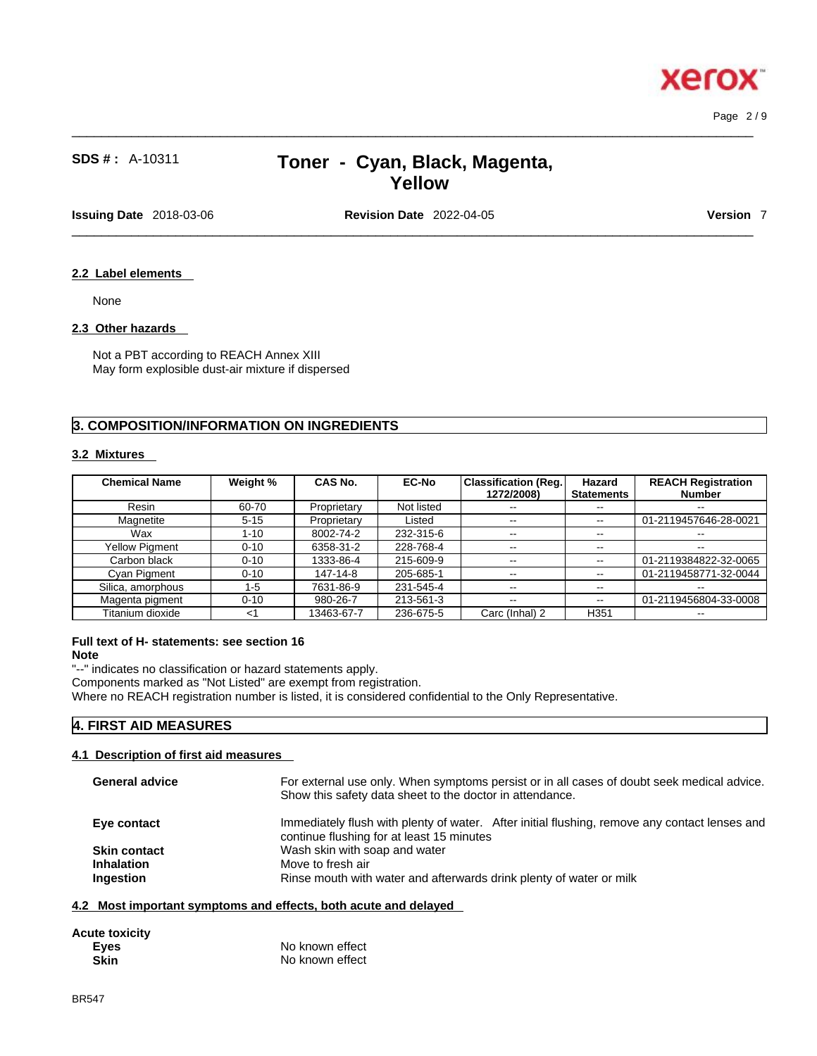Page 2 / 9

# **SDS # :** A-10311 **Toner - Cyan, Black, Magenta, Yellow**

 $\_$  ,  $\_$  ,  $\_$  ,  $\_$  ,  $\_$  ,  $\_$  ,  $\_$  ,  $\_$  ,  $\_$  ,  $\_$  ,  $\_$  ,  $\_$  ,  $\_$  ,  $\_$  ,  $\_$  ,  $\_$  ,  $\_$  ,  $\_$  ,  $\_$  ,  $\_$  ,  $\_$  ,  $\_$  ,  $\_$  ,  $\_$  ,  $\_$  ,  $\_$  ,  $\_$  ,  $\_$  ,  $\_$  ,  $\_$  ,  $\_$  ,  $\_$  ,  $\_$  ,  $\_$  ,  $\_$  ,  $\_$  ,  $\_$  ,

**Issuing Date** 2018-03-06 **Revision Date** 2022-04-05 **Version** 7

 $\_$  ,  $\_$  ,  $\_$  ,  $\_$  ,  $\_$  ,  $\_$  ,  $\_$  ,  $\_$  ,  $\_$  ,  $\_$  ,  $\_$  ,  $\_$  ,  $\_$  ,  $\_$  ,  $\_$  ,  $\_$  ,  $\_$  ,  $\_$  ,  $\_$  ,  $\_$  ,  $\_$  ,  $\_$  ,  $\_$  ,  $\_$  ,  $\_$  ,  $\_$  ,  $\_$  ,  $\_$  ,  $\_$  ,  $\_$  ,  $\_$  ,  $\_$  ,  $\_$  ,  $\_$  ,  $\_$  ,  $\_$  ,  $\_$  ,

## **2.2 Label elements**

None

## **2.3 Other hazards**

Not a PBT according to REACH Annex XIII May form explosible dust-air mixture if dispersed

## **3. COMPOSITION/INFORMATION ON INGREDIENTS**

## **3.2 Mixtures**

| <b>Chemical Name</b>  | Weight % | CAS No.     | <b>EC-No</b> | <b>Classification (Reg.</b><br>1272/2008) | Hazard<br><b>Statements</b> | <b>REACH Registration</b><br><b>Number</b> |
|-----------------------|----------|-------------|--------------|-------------------------------------------|-----------------------------|--------------------------------------------|
| Resin                 | 60-70    | Proprietary | Not listed   | $- -$                                     | $\sim$ $\sim$               | $- -$                                      |
| Magnetite             | $5 - 15$ | Proprietary | Listed       | $\sim$ $-$                                | $\sim$ $\sim$               | 01-2119457646-28-0021                      |
| Wax                   | 1-10     | 8002-74-2   | 232-315-6    | $\overline{\phantom{m}}$                  | $\sim$ $\sim$               | $\overline{\phantom{m}}$                   |
| <b>Yellow Pigment</b> | $0 - 10$ | 6358-31-2   | 228-768-4    | $\sim$ $\sim$                             | $\sim$ $\sim$               | $- -$                                      |
| Carbon black          | $0 - 10$ | 1333-86-4   | 215-609-9    | $\sim$ $\sim$                             | $\sim$ $\sim$               | 01-2119384822-32-0065                      |
| Cyan Pigment          | $0 - 10$ | 147-14-8    | 205-685-1    | $\sim$ $\sim$                             | $\sim$ $\sim$               | 01-2119458771-32-0044                      |
| Silica, amorphous     | $1-5$    | 7631-86-9   | 231-545-4    | $\sim$ $-$                                | $\sim$ $\sim$               | $\overline{\phantom{m}}$                   |
| Magenta pigment       | $0 - 10$ | 980-26-7    | 213-561-3    | $\sim$ $\sim$                             | $\overline{\phantom{m}}$    | 01-2119456804-33-0008                      |
| Titanium dioxide      | $<$ 1    | 13463-67-7  | 236-675-5    | Carc (Inhal) 2                            | H <sub>351</sub>            | --                                         |

## **Full text of H- statements: see section 16**

**Note**

"--" indicates no classification or hazard statements apply. Components marked as "Not Listed" are exempt from registration. Where no REACH registration number is listed, it is considered confidential to the Only Representative.

## **4. FIRST AID MEASURES**

## **4.1 Description of first aid measures**

| <b>General advice</b>                                 | For external use only. When symptoms persist or in all cases of doubt seek medical advice.<br>Show this safety data sheet to the doctor in attendance. |
|-------------------------------------------------------|--------------------------------------------------------------------------------------------------------------------------------------------------------|
| Eye contact                                           | Immediately flush with plenty of water. After initial flushing, remove any contact lenses and<br>continue flushing for at least 15 minutes             |
| <b>Skin contact</b><br><b>Inhalation</b><br>Ingestion | Wash skin with soap and water<br>Move to fresh air<br>Rinse mouth with water and afterwards drink plenty of water or milk                              |

## **4.2 Most important symptoms and effects, both acute and delayed**

| <b>Acute toxicity</b> |                 |
|-----------------------|-----------------|
| Eyes                  | No known effect |
| Skin                  | No known effect |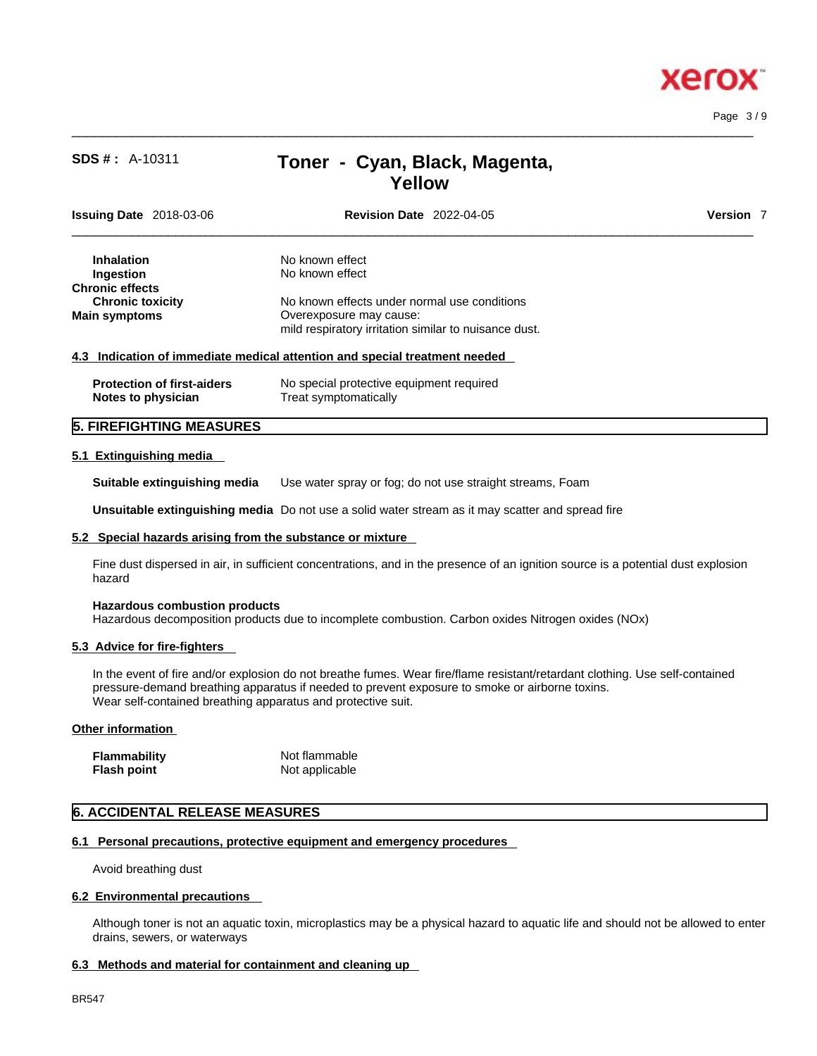

 $\_$  ,  $\_$  ,  $\_$  ,  $\_$  ,  $\_$  ,  $\_$  ,  $\_$  ,  $\_$  ,  $\_$  ,  $\_$  ,  $\_$  ,  $\_$  ,  $\_$  ,  $\_$  ,  $\_$  ,  $\_$  ,  $\_$  ,  $\_$  ,  $\_$  ,  $\_$  ,  $\_$  ,  $\_$  ,  $\_$  ,  $\_$  ,  $\_$  ,  $\_$  ,  $\_$  ,  $\_$  ,  $\_$  ,  $\_$  ,  $\_$  ,  $\_$  ,  $\_$  ,  $\_$  ,  $\_$  ,  $\_$  ,  $\_$  , Page 3 / 9

# **SDS # :** A-10311 **Toner - Cyan, Black, Magenta, Yellow**

| <b>Issuing Date</b> 2018-03-06    | <b>Revision Date 2022-04-05</b>                                            | Version 7 |
|-----------------------------------|----------------------------------------------------------------------------|-----------|
| <b>Inhalation</b>                 | No known effect                                                            |           |
| Ingestion                         | No known effect                                                            |           |
| <b>Chronic effects</b>            |                                                                            |           |
| <b>Chronic toxicity</b>           | No known effects under normal use conditions                               |           |
| <b>Main symptoms</b>              | Overexposure may cause:                                                    |           |
|                                   | mild respiratory irritation similar to nuisance dust.                      |           |
|                                   | 4.3 Indication of immediate medical attention and special treatment needed |           |
| <b>Protection of first-aiders</b> | No special protective equipment required                                   |           |

## **5. FIREFIGHTING MEASURES**

#### **5.1 Extinguishing media**

**Suitable extinguishing media** Use water spray or fog; do not use straight streams, Foam

**Unsuitable extinguishing media** Do not use a solid water stream as it may scatterand spread fire

#### **5.2 Special hazards arising from the substance or mixture**

**Notes to physician** Treat symptomatically

Fine dust dispersed in air, in sufficient concentrations, and in the presence of an ignition source is a potential dust explosion hazard

## **Hazardous combustion products**

Hazardous decomposition products due to incomplete combustion. Carbon oxides Nitrogen oxides (NOx)

#### **5.3 Advice for fire-fighters**

In the event of fire and/or explosion do not breathe fumes. Wear fire/flame resistant/retardant clothing. Use self-contained pressure-demand breathing apparatus if needed to prevent exposure to smoke or airborne toxins. Wear self-contained breathing apparatus and protective suit.

#### **Other information**

| Flammability | Not flammable  |
|--------------|----------------|
| Flash point  | Not applicable |

## **6. ACCIDENTAL RELEASE MEASURES**

## **6.1 Personal precautions, protective equipment and emergency procedures**

Avoid breathing dust

#### **6.2 Environmental precautions**

Although toner is not an aquatic toxin, microplastics may be a physical hazard to aquatic life and should not be allowed to enter drains, sewers, or waterways

## **6.3 Methods and material for containment and cleaning up**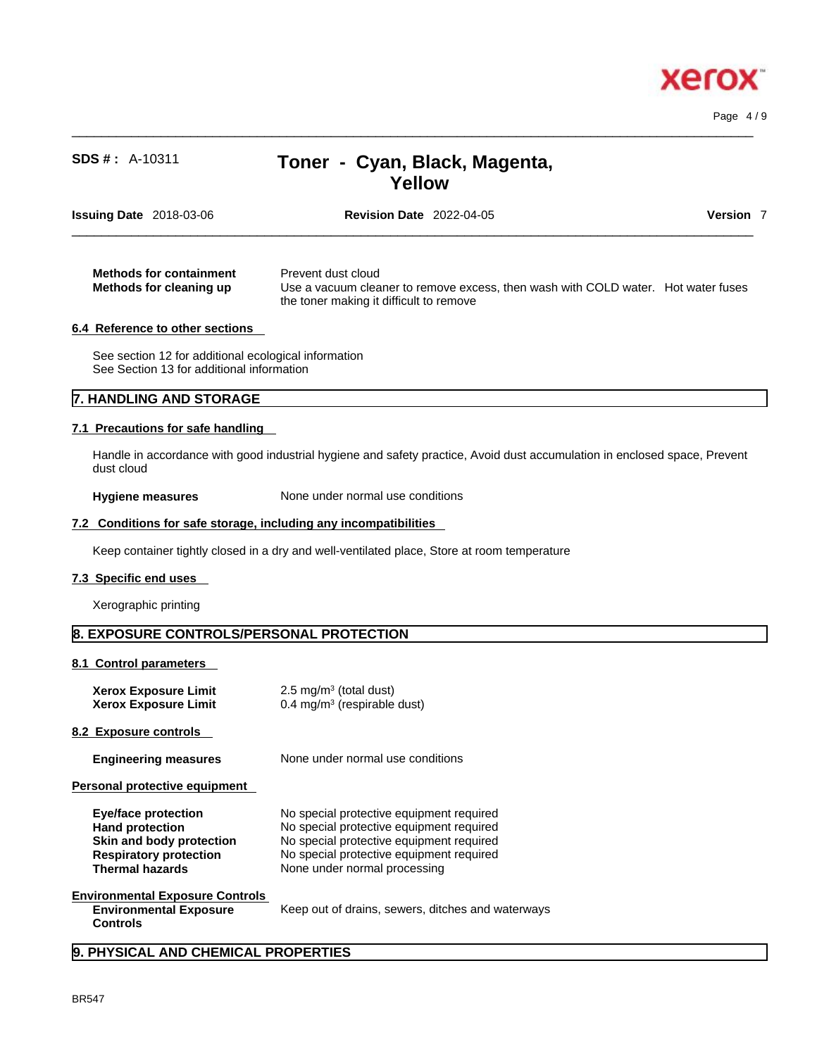Page 4 / 9

# **SDS # :** A-10311 **Toner - Cyan, Black, Magenta, Yellow**

 $\_$  ,  $\_$  ,  $\_$  ,  $\_$  ,  $\_$  ,  $\_$  ,  $\_$  ,  $\_$  ,  $\_$  ,  $\_$  ,  $\_$  ,  $\_$  ,  $\_$  ,  $\_$  ,  $\_$  ,  $\_$  ,  $\_$  ,  $\_$  ,  $\_$  ,  $\_$  ,  $\_$  ,  $\_$  ,  $\_$  ,  $\_$  ,  $\_$  ,  $\_$  ,  $\_$  ,  $\_$  ,  $\_$  ,  $\_$  ,  $\_$  ,  $\_$  ,  $\_$  ,  $\_$  ,  $\_$  ,  $\_$  ,  $\_$  ,

| <b>Revision Date 2022-04-05</b><br><b>Issuing Date</b> 2018-03-06                                                                                                                                               | Version |
|-----------------------------------------------------------------------------------------------------------------------------------------------------------------------------------------------------------------|---------|
| Prevent dust cloud<br><b>Methods for containment</b><br>Use a vacuum cleaner to remove excess, then wash with COLD water. Hot water fuses<br>Methods for cleaning up<br>the toner making it difficult to remove |         |
| 6.4 Reference to other sections                                                                                                                                                                                 |         |

See section 12 for additional ecological information See Section 13 for additional information

## **7. HANDLING AND STORAGE**

## **7.1 Precautions for safe handling**

Handle in accordance with good industrial hygiene and safety practice, Avoid dust accumulation in enclosed space, Prevent dust cloud

**Hygiene measures** None under normal use conditions

## **7.2 Conditions for safe storage, including any incompatibilities**

Keep container tightly closed in a dry and well-ventilated place, Store at room temperature

#### **7.3 Specific end uses**

Xerographic printing

## **8. EXPOSURE CONTROLS/PERSONAL PROTECTION**

**8.1 Control parameters** 

| <b>Xerox Exposure Limit</b> | $2.5 \text{ mg/m}^3$ (total dust)       |
|-----------------------------|-----------------------------------------|
| <b>Xerox Exposure Limit</b> | 0.4 mg/m <sup>3</sup> (respirable dust) |

**8.2 Exposure controls** 

**Engineering measures** None under normal use conditions

**Personal protective equipment** 

| Eye/face protection           | No special protective equipment required |
|-------------------------------|------------------------------------------|
| <b>Hand protection</b>        | No special protective equipment required |
| Skin and body protection      | No special protective equipment required |
| <b>Respiratory protection</b> | No special protective equipment required |
| <b>Thermal hazards</b>        | None under normal processing             |

## **Environmental Exposure Controls Environmental Exposure**

Keep out of drains, sewers, ditches and waterways

## **Controls**

**9. PHYSICAL AND CHEMICAL PROPERTIES**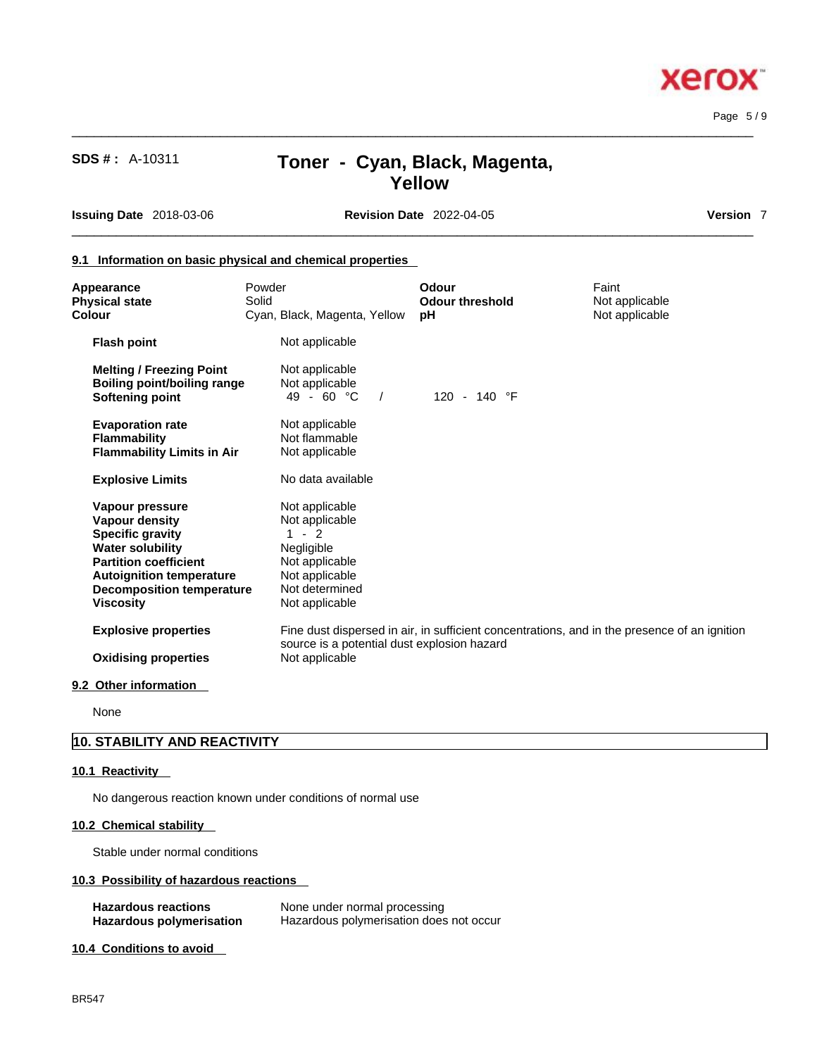Page 5 / 9

**Xerox** 

# **SDS # :** A-10311 **Toner - Cyan, Black, Magenta, Yellow**

**Issuing Date** 2018-03-06 **Revision Date** 2022-04-05 **Version** 7

## **9.1 Information on basic physical and chemical properties**

| Appearance<br><b>Physical state</b><br>Colour                                                                                                                                                                             | Powder<br>Solid | Cyan, Black, Magenta, Yellow                                                                                                         | Odour<br><b>Odour threshold</b><br>рH | Faint<br>Not applicable<br>Not applicable                                                    |
|---------------------------------------------------------------------------------------------------------------------------------------------------------------------------------------------------------------------------|-----------------|--------------------------------------------------------------------------------------------------------------------------------------|---------------------------------------|----------------------------------------------------------------------------------------------|
| <b>Flash point</b>                                                                                                                                                                                                        |                 | Not applicable                                                                                                                       |                                       |                                                                                              |
| <b>Melting / Freezing Point</b><br><b>Boiling point/boiling range</b><br><b>Softening point</b>                                                                                                                           |                 | Not applicable<br>Not applicable<br>49 - 60 $^{\circ}$ C<br>$\sqrt{ }$                                                               | 120 - 140 °F                          |                                                                                              |
| <b>Evaporation rate</b><br><b>Flammability</b><br><b>Flammability Limits in Air</b>                                                                                                                                       |                 | Not applicable<br>Not flammable<br>Not applicable                                                                                    |                                       |                                                                                              |
| <b>Explosive Limits</b>                                                                                                                                                                                                   |                 | No data available                                                                                                                    |                                       |                                                                                              |
| Vapour pressure<br><b>Vapour density</b><br><b>Specific gravity</b><br><b>Water solubility</b><br><b>Partition coefficient</b><br><b>Autoignition temperature</b><br><b>Decomposition temperature</b><br><b>Viscosity</b> |                 | Not applicable<br>Not applicable<br>$-2$<br>1.<br>Negligible<br>Not applicable<br>Not applicable<br>Not determined<br>Not applicable |                                       |                                                                                              |
| <b>Explosive properties</b>                                                                                                                                                                                               |                 | source is a potential dust explosion hazard                                                                                          |                                       | Fine dust dispersed in air, in sufficient concentrations, and in the presence of an ignition |
| <b>Oxidising properties</b>                                                                                                                                                                                               |                 | Not applicable                                                                                                                       |                                       |                                                                                              |
|                                                                                                                                                                                                                           |                 |                                                                                                                                      |                                       |                                                                                              |

## **9.2 Other information**

None

## **10. STABILITY AND REACTIVITY**

## **10.1 Reactivity**

No dangerous reaction known under conditions of normal use

## **10.2 Chemical stability**

Stable under normal conditions

## **10.3 Possibility of hazardous reactions**

| <b>Hazardous reactions</b> | None under normal processing            |
|----------------------------|-----------------------------------------|
| Hazardous polymerisation   | Hazardous polymerisation does not occur |

## **10.4 Conditions to avoid**

 $\_$  ,  $\_$  ,  $\_$  ,  $\_$  ,  $\_$  ,  $\_$  ,  $\_$  ,  $\_$  ,  $\_$  ,  $\_$  ,  $\_$  ,  $\_$  ,  $\_$  ,  $\_$  ,  $\_$  ,  $\_$  ,  $\_$  ,  $\_$  ,  $\_$  ,  $\_$  ,  $\_$  ,  $\_$  ,  $\_$  ,  $\_$  ,  $\_$  ,  $\_$  ,  $\_$  ,  $\_$  ,  $\_$  ,  $\_$  ,  $\_$  ,  $\_$  ,  $\_$  ,  $\_$  ,  $\_$  ,  $\_$  ,  $\_$  ,

 $\_$  ,  $\_$  ,  $\_$  ,  $\_$  ,  $\_$  ,  $\_$  ,  $\_$  ,  $\_$  ,  $\_$  ,  $\_$  ,  $\_$  ,  $\_$  ,  $\_$  ,  $\_$  ,  $\_$  ,  $\_$  ,  $\_$  ,  $\_$  ,  $\_$  ,  $\_$  ,  $\_$  ,  $\_$  ,  $\_$  ,  $\_$  ,  $\_$  ,  $\_$  ,  $\_$  ,  $\_$  ,  $\_$  ,  $\_$  ,  $\_$  ,  $\_$  ,  $\_$  ,  $\_$  ,  $\_$  ,  $\_$  ,  $\_$  ,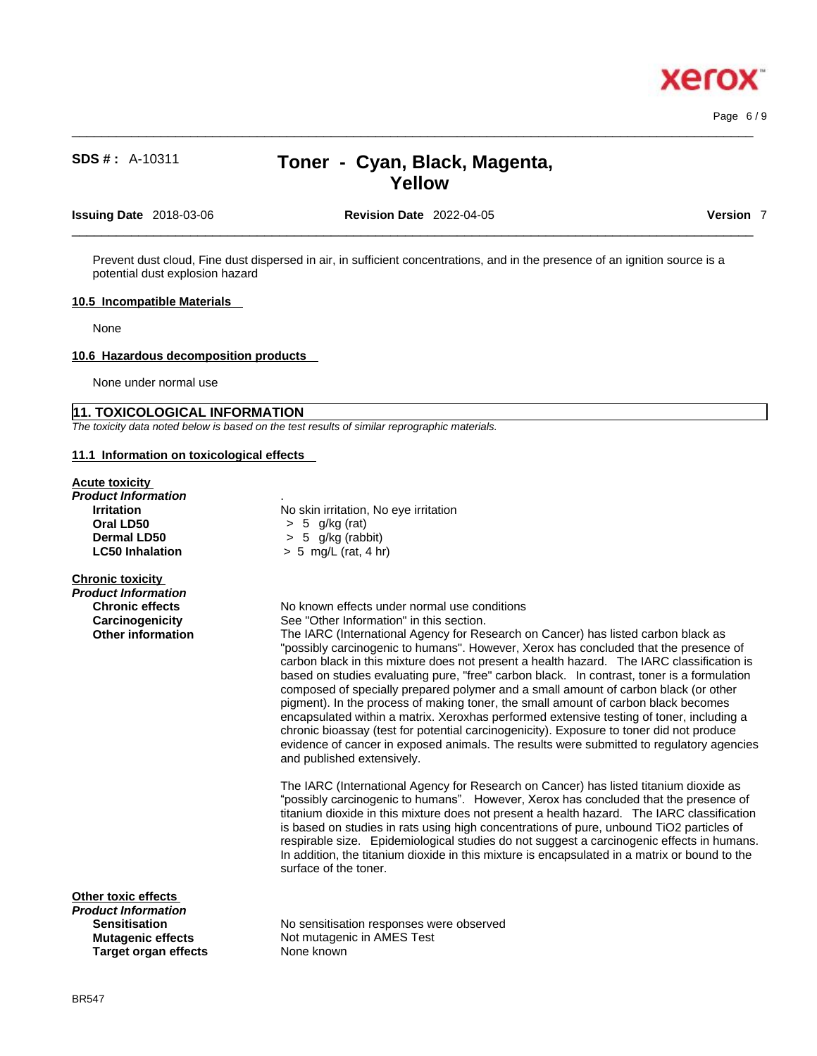# **SDS # :** A-10311 **Toner - Cyan, Black, Magenta, Yellow**

 $\_$  ,  $\_$  ,  $\_$  ,  $\_$  ,  $\_$  ,  $\_$  ,  $\_$  ,  $\_$  ,  $\_$  ,  $\_$  ,  $\_$  ,  $\_$  ,  $\_$  ,  $\_$  ,  $\_$  ,  $\_$  ,  $\_$  ,  $\_$  ,  $\_$  ,  $\_$  ,  $\_$  ,  $\_$  ,  $\_$  ,  $\_$  ,  $\_$  ,  $\_$  ,  $\_$  ,  $\_$  ,  $\_$  ,  $\_$  ,  $\_$  ,  $\_$  ,  $\_$  ,  $\_$  ,  $\_$  ,  $\_$  ,  $\_$  ,

**Issuing Date** 2018-03-06 **Revision Date** 2022-04-05 **Version** 7

 $\_$  ,  $\_$  ,  $\_$  ,  $\_$  ,  $\_$  ,  $\_$  ,  $\_$  ,  $\_$  ,  $\_$  ,  $\_$  ,  $\_$  ,  $\_$  ,  $\_$  ,  $\_$  ,  $\_$  ,  $\_$  ,  $\_$  ,  $\_$  ,  $\_$  ,  $\_$  ,  $\_$  ,  $\_$  ,  $\_$  ,  $\_$  ,  $\_$  ,  $\_$  ,  $\_$  ,  $\_$  ,  $\_$  ,  $\_$  ,  $\_$  ,  $\_$  ,  $\_$  ,  $\_$  ,  $\_$  ,  $\_$  ,  $\_$  ,

Prevent dust cloud, Fine dust dispersed in air, in sufficient concentrations, and in the presence of an ignition source is a potential dust explosion hazard

## **10.5 Incompatible Materials**

None

#### **10.6 Hazardous decomposition products**

None under normal use

## **11. TOXICOLOGICAL INFORMATION**

*The toxicity data noted below is based on the test results of similar reprographic materials.* 

**Oral LD50** > 5 g/kg (rat)

## **11.1 Information on toxicological effects**

#### **Acute toxicity**

*Product Information* . **Irritation** No skin irritation, No eye irritation **Dermal LD50** > 5 g/kg (rabbit) **LC50 Inhalation** > 5 mg/L (rat, 4 hr)

#### **Chronic toxicity**

| Product Information      |  |
|--------------------------|--|
| <b>Chronic effects</b>   |  |
| Carcinogenicity          |  |
| <b>Other information</b> |  |
|                          |  |

**Other toxic effects**

*Product Information*  **Target organ effects** 

**Not mutagenic in AMES Test<br>None known** 



Page 6 / 9

No known effects under normal use conditions

See "Other Information" in this section.

The IARC (International Agency for Research on Cancer) has listed carbon black as "possibly carcinogenic to humans". However, Xerox has concluded that the presence of carbon black in this mixture does not present a health hazard. The IARC classification is based on studies evaluating pure, "free" carbon black. In contrast, toner is a formulation composed of specially prepared polymer and a small amount of carbon black (or other pigment). In the process of making toner, the small amount of carbon black becomes encapsulated within a matrix. Xeroxhas performed extensive testing of toner, including a chronic bioassay (test for potential carcinogenicity). Exposure to toner did not produce evidence of cancer in exposed animals. The results were submitted to regulatory agencies and published extensively.

The IARC (International Agency for Research on Cancer) has listed titanium dioxide as "possibly carcinogenic to humans". However, Xerox has concluded that the presence of titanium dioxide in this mixture does not present a health hazard. The IARC classification is based on studies in rats using high concentrations of pure, unbound TiO2 particles of respirable size. Epidemiological studies do not suggest a carcinogenic effects in humans. In addition, the titanium dioxide in this mixture is encapsulated in a matrix or bound to the surface of the toner.

**Sensitisation**<br> **No sensitisation responses were observed<br>
Mutagenic effects**Mot mutagenic in AMES Test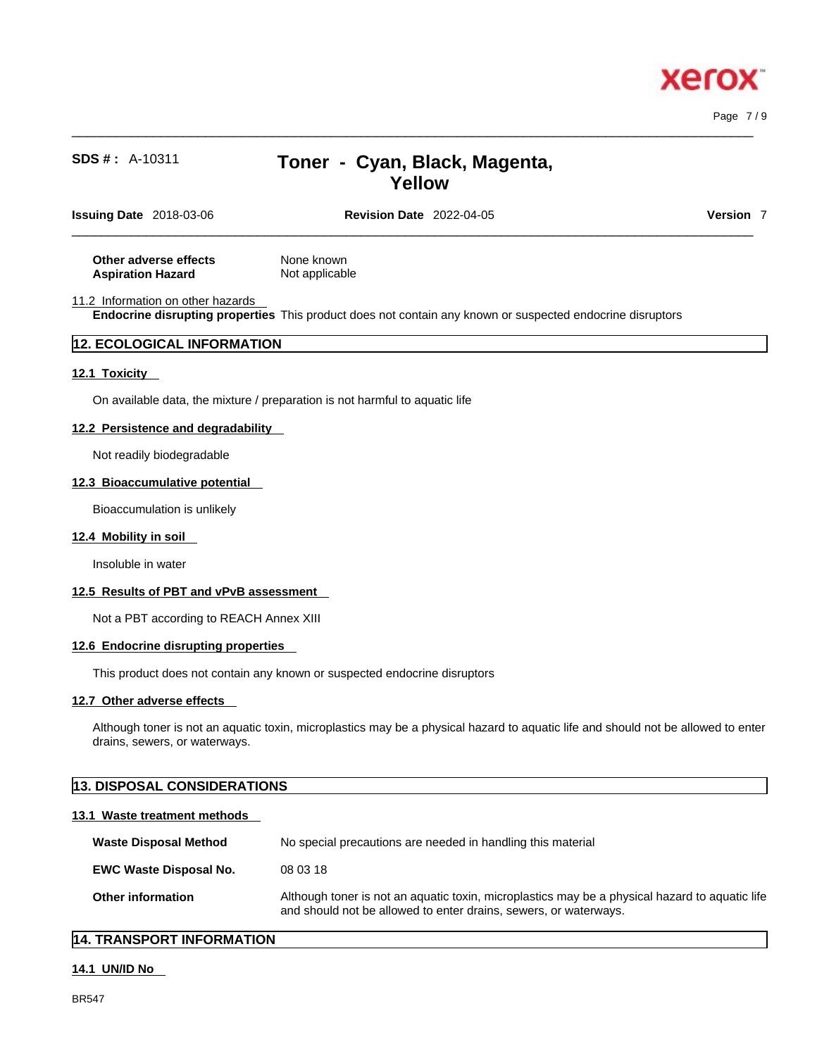Page 7 / 9

# **SDS # :** A-10311 **Toner - Cyan, Black, Magenta, Yellow**

| <b>Issuing Date</b> 2018-03-06 | <b>Revision Date 2022-04-05</b> | Version |  |
|--------------------------------|---------------------------------|---------|--|
|                                |                                 |         |  |

 $\_$  ,  $\_$  ,  $\_$  ,  $\_$  ,  $\_$  ,  $\_$  ,  $\_$  ,  $\_$  ,  $\_$  ,  $\_$  ,  $\_$  ,  $\_$  ,  $\_$  ,  $\_$  ,  $\_$  ,  $\_$  ,  $\_$  ,  $\_$  ,  $\_$  ,  $\_$  ,  $\_$  ,  $\_$  ,  $\_$  ,  $\_$  ,  $\_$  ,  $\_$  ,  $\_$  ,  $\_$  ,  $\_$  ,  $\_$  ,  $\_$  ,  $\_$  ,  $\_$  ,  $\_$  ,  $\_$  ,  $\_$  ,  $\_$  ,

**Other adverse effects** None known **Aspiration Hazard** Not applicable

11.2 Information on other hazards

**Endocrine disrupting properties** This product does not contain any known or suspected endocrine disruptors

## **12. ECOLOGICAL INFORMATION**

## **12.1 Toxicity**

On available data, the mixture / preparation is not harmful to aquatic life

## **12.2 Persistence and degradability**

Not readily biodegradable

### **12.3 Bioaccumulative potential**

Bioaccumulation is unlikely

#### **12.4 Mobility in soil**

Insoluble in water

#### **12.5 Results of PBT and vPvB assessment**

Not a PBT according to REACH Annex XIII

#### **12.6 Endocrine disrupting properties**

This product does not contain any known or suspected endocrine disruptors

## **12.7 Other adverse effects**

Although toner is not an aquatic toxin, microplastics may be a physical hazard to aquatic life and should not be allowed to enter drains, sewers, or waterways.

## **13. DISPOSAL CONSIDERATIONS**

#### **13.1 Waste treatment methods**

| <b>Waste Disposal Method</b>  | No special precautions are needed in handling this material                                                                                                        |  |
|-------------------------------|--------------------------------------------------------------------------------------------------------------------------------------------------------------------|--|
| <b>EWC Waste Disposal No.</b> | 08 03 18                                                                                                                                                           |  |
| <b>Other information</b>      | Although toner is not an aquatic toxin, microplastics may be a physical hazard to aquatic life<br>and should not be allowed to enter drains, sewers, or waterways. |  |

## **14. TRANSPORT INFORMATION**

## **14.1 UN/ID No**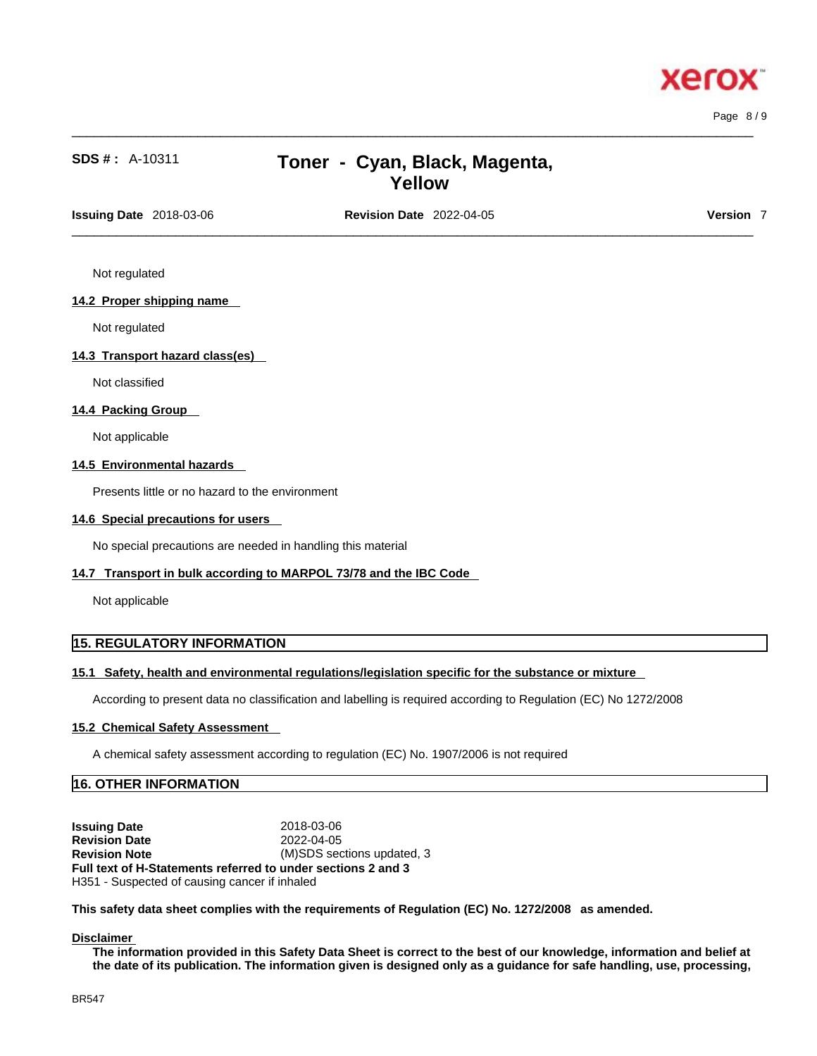

Page 8 / 9

# **SDS # :** A-10311 **Toner - Cyan, Black, Magenta, Yellow**

 $\_$  ,  $\_$  ,  $\_$  ,  $\_$  ,  $\_$  ,  $\_$  ,  $\_$  ,  $\_$  ,  $\_$  ,  $\_$  ,  $\_$  ,  $\_$  ,  $\_$  ,  $\_$  ,  $\_$  ,  $\_$  ,  $\_$  ,  $\_$  ,  $\_$  ,  $\_$  ,  $\_$  ,  $\_$  ,  $\_$  ,  $\_$  ,  $\_$  ,  $\_$  ,  $\_$  ,  $\_$  ,  $\_$  ,  $\_$  ,  $\_$  ,  $\_$  ,  $\_$  ,  $\_$  ,  $\_$  ,  $\_$  ,  $\_$  ,

 $\_$  ,  $\_$  ,  $\_$  ,  $\_$  ,  $\_$  ,  $\_$  ,  $\_$  ,  $\_$  ,  $\_$  ,  $\_$  ,  $\_$  ,  $\_$  ,  $\_$  ,  $\_$  ,  $\_$  ,  $\_$  ,  $\_$  ,  $\_$  ,  $\_$  ,  $\_$  ,  $\_$  ,  $\_$  ,  $\_$  ,  $\_$  ,  $\_$  ,  $\_$  ,  $\_$  ,  $\_$  ,  $\_$  ,  $\_$  ,  $\_$  ,  $\_$  ,  $\_$  ,  $\_$  ,  $\_$  ,  $\_$  ,  $\_$  , **Issuing Date** 2018-03-06 **Revision Date** 2022-04-05 **Version** 7

Not regulated

## **14.2 Proper shipping name**

Not regulated

## **14.3 Transport hazard class(es)**

Not classified

## **14.4 Packing Group**

Not applicable

## **14.5 Environmental hazards**

Presents little or no hazard to the environment

#### **14.6 Special precautions for users**

No special precautions are needed in handling this material

#### **14.7 Transport in bulk according to MARPOL 73/78 and the IBC Code**

Not applicable

## **15. REGULATORY INFORMATION**

#### **15.1 Safety, health and environmental regulations/legislation specific for the substance or mixture**

According to present data no classification and labelling is required according to Regulation (EC) No 1272/2008

#### **15.2 Chemical Safety Assessment**

A chemical safety assessment according to regulation (EC) No. 1907/2006 is not required

## **16. OTHER INFORMATION**

**Issuing Date** 2018-03-06 **Revision Date** 2022-04-05 **Revision Note** (M)SDS sections updated, 3 **Full text of H-Statements referred to undersections 2 and 3** H351 - Suspected of causing cancer if inhaled

**This safety data sheet complies with the requirements of Regulation (EC) No. 1272/2008 as amended.**

#### **Disclaimer**

The information provided in this Safety Data Sheet is correct to the best of our knowledge, information and belief at the date of its publication. The information given is designed only as a guidance for safe handling, use, processing,